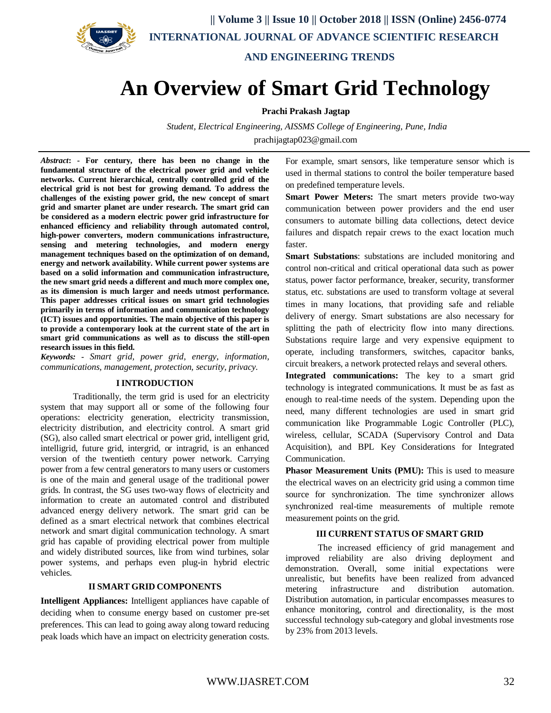

 **|| Volume 3 || Issue 10 || October 2018 || ISSN (Online) 2456-0774 INTERNATIONAL JOURNAL OF ADVANCE SCIENTIFIC RESEARCH** 

**AND ENGINEERING TRENDS**

# **An Overview of Smart Grid Technology**

**Prachi Prakash Jagtap**

*Student, Electrical Engineering, AISSMS College of Engineering, Pune, India* prachijagtap023@gmail.com

*Abstract***: - For century, there has been no change in the fundamental structure of the electrical power grid and vehicle networks. Current hierarchical, centrally controlled grid of the electrical grid is not best for growing demand. To address the challenges of the existing power grid, the new concept of smart grid and smarter planet are under research. The smart grid can be considered as a modern electric power grid infrastructure for enhanced efficiency and reliability through automated control, high-power converters, modern communications infrastructure, sensing and metering technologies, and modern energy management techniques based on the optimization of on demand, energy and network availability. While current power systems are based on a solid information and communication infrastructure, the new smart grid needs a different and much more complex one, as its dimension is much larger and needs utmost performance. This paper addresses critical issues on smart grid technologies primarily in terms of information and communication technology (ICT) issues and opportunities. The main objective of this paper is to provide a contemporary look at the current state of the art in smart grid communications as well as to discuss the still-open research issues in this field.**

*Keywords: - Smart grid, power grid, energy, information, communications, management, protection, security, privacy.*

### **IINTRODUCTION**

Traditionally, the term grid is used for an electricity system that may support all or some of the following four operations: electricity generation, electricity transmission, electricity distribution, and electricity control. A smart grid (SG), also called smart electrical or power grid, intelligent grid, intelligrid, future grid, intergrid, or intragrid, is an enhanced version of the twentieth century power network. Carrying power from a few central generators to many users or customers is one of the main and general usage of the traditional power grids. In contrast, the SG uses two-way flows of electricity and information to create an automated control and distributed advanced energy delivery network. The smart grid can be defined as a smart electrical network that combines electrical network and smart digital communication technology. A smart grid has capable of providing electrical power from multiple and widely distributed sources, like from wind turbines, solar power systems, and perhaps even plug-in hybrid electric vehicles.

### **II SMART GRID COMPONENTS**

**Intelligent Appliances:** Intelligent appliances have capable of deciding when to consume energy based on customer pre-set preferences. This can lead to going away along toward reducing peak loads which have an impact on electricity generation costs.

For example, smart sensors, like temperature sensor which is used in thermal stations to control the boiler temperature based on predefined temperature levels.

**Smart Power Meters:** The smart meters provide two-way communication between power providers and the end user consumers to automate billing data collections, detect device failures and dispatch repair crews to the exact location much faster.

**Smart Substations**: substations are included monitoring and control non-critical and critical operational data such as power status, power factor performance, breaker, security, transformer status, etc. substations are used to transform voltage at several times in many locations, that providing safe and reliable delivery of energy. Smart substations are also necessary for splitting the path of electricity flow into many directions. Substations require large and very expensive equipment to operate, including transformers, switches, capacitor banks, circuit breakers, a network protected relays and several others.

**Integrated communications:** The key to a smart grid technology is integrated communications. It must be as fast as enough to real-time needs of the system. Depending upon the need, many different technologies are used in smart grid communication like Programmable Logic Controller (PLC), wireless, cellular, SCADA (Supervisory Control and Data Acquisition), and BPL Key Considerations for Integrated Communication.

**Phasor Measurement Units (PMU):** This is used to measure the electrical waves on an electricity grid using a common time source for synchronization. The time synchronizer allows synchronized real-time measurements of multiple remote measurement points on the grid.

### **III CURRENT STATUS OF SMART GRID**

The increased efficiency of grid management and improved reliability are also driving deployment and demonstration. Overall, some initial expectations were unrealistic, but benefits have been realized from advanced metering infrastructure and distribution automation. Distribution automation, in particular encompasses measures to enhance monitoring, control and directionality, is the most successful technology sub-category and global investments rose by 23% from 2013 levels.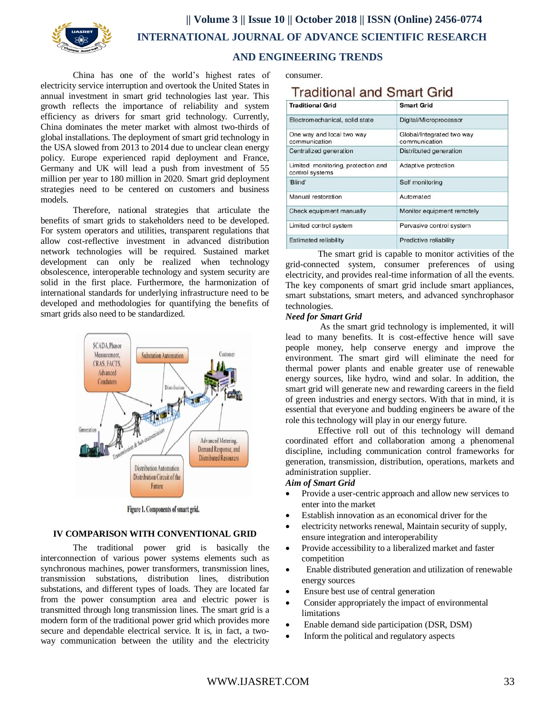

 **|| Volume 3 || Issue 10 || October 2018 || ISSN (Online) 2456-0774 INTERNATIONAL JOURNAL OF ADVANCE SCIENTIFIC RESEARCH** 

## **AND ENGINEERING TRENDS**

China has one of the world's highest rates of electricity service interruption and overtook the United States in annual investment in smart grid technologies last year. This growth reflects the importance of reliability and system efficiency as drivers for smart grid technology. Currently, China dominates the meter market with almost two-thirds of global installations. The deployment of smart grid technology in the USA slowed from 2013 to 2014 due to unclear clean energy policy. Europe experienced rapid deployment and France, Germany and UK will lead a push from investment of 55 million per year to 180 million in 2020. Smart grid deployment strategies need to be centered on customers and business models.

Therefore, national strategies that articulate the benefits of smart grids to stakeholders need to be developed. For system operators and utilities, transparent regulations that allow cost-reflective investment in advanced distribution network technologies will be required. Sustained market development can only be realized when technology obsolescence, interoperable technology and system security are solid in the first place. Furthermore, the harmonization of international standards for underlying infrastructure need to be developed and methodologies for quantifying the benefits of smart grids also need to be standardized.



Figure 1. Components of smart grid.

### **IV COMPARISON WITH CONVENTIONAL GRID**

The traditional power grid is basically the interconnection of various power systems elements such as synchronous machines, power transformers, transmission lines, transmission substations, distribution lines, distribution substations, and different types of loads. They are located far from the power consumption area and electric power is transmitted through long transmission lines. The smart grid is a modern form of the traditional power grid which provides more secure and dependable electrical service. It is, in fact, a twoway communication between the utility and the electricity

consumer.

# **Traditional and Smart Grid**

| <b>Traditional Grid</b>                               | <b>Smart Grid</b>                          |
|-------------------------------------------------------|--------------------------------------------|
| Electromechanical, solid state                        | Digital/Microprocessor                     |
| One way and local two way<br>communication            | Global/Integrated two way<br>communication |
| Centralized generation                                | Distributed generation                     |
| Limited monitoring, protection and<br>control systems | Adaptive protection                        |
| 'Blind'                                               | Self monitoring                            |
| Manual restoration                                    | Automated                                  |
| Check equipment manually                              | Monitor equipment remotely                 |
| Limited control system                                | Pervasive control system                   |
| Estimated reliability                                 | Predictive reliability                     |

The smart grid is capable to monitor activities of the grid-connected system, consumer preferences of using electricity, and provides real-time information of all the events. The key components of smart grid include smart appliances, smart substations, smart meters, and advanced synchrophasor technologies.

### *Need for Smart Grid*

As the smart grid technology is implemented, it will lead to many benefits. It is cost-effective hence will save people money, help conserve energy and improve the environment. The smart gird will eliminate the need for thermal power plants and enable greater use of renewable energy sources, like hydro, wind and solar. In addition, the smart grid will generate new and rewarding careers in the field of green industries and energy sectors. With that in mind, it is essential that everyone and budding engineers be aware of the role this technology will play in our energy future.

Effective roll out of this technology will demand coordinated effort and collaboration among a phenomenal discipline, including communication control frameworks for generation, transmission, distribution, operations, markets and administration supplier.

### *Aim of Smart Grid*

- Provide a user-centric approach and allow new services to enter into the market
- Establish innovation as an economical driver for the
- electricity networks renewal, Maintain security of supply, ensure integration and interoperability
- Provide accessibility to a liberalized market and faster competition
- Enable distributed generation and utilization of renewable energy sources
- Ensure best use of central generation
- Consider appropriately the impact of environmental limitations
- Enable demand side participation (DSR, DSM)
- Inform the political and regulatory aspects